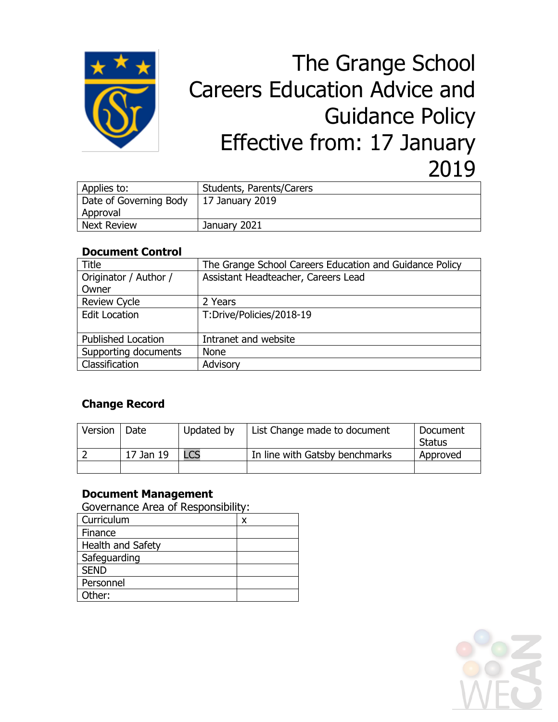

# The Grange School Careers Education Advice and Guidance Policy Effective from: 17 January 2019

| Applies to:            | Students, Parents/Carers |  |
|------------------------|--------------------------|--|
| Date of Governing Body | 17 January 2019          |  |
| Approval               |                          |  |
| <b>Next Review</b>     | January 2021             |  |

#### **Document Control**

| Title                     | The Grange School Careers Education and Guidance Policy |  |  |
|---------------------------|---------------------------------------------------------|--|--|
| Originator / Author /     | Assistant Headteacher, Careers Lead                     |  |  |
| Owner                     |                                                         |  |  |
| <b>Review Cycle</b>       | 2 Years                                                 |  |  |
| <b>Edit Location</b>      | T:Drive/Policies/2018-19                                |  |  |
|                           |                                                         |  |  |
| <b>Published Location</b> | Intranet and website                                    |  |  |
| Supporting documents      | <b>None</b>                                             |  |  |
| Classification            | Advisory                                                |  |  |

### **Change Record**

| Version | Date      | Updated by | List Change made to document   | Document<br>Status |
|---------|-----------|------------|--------------------------------|--------------------|
|         | 17 Jan 19 | <b>LCS</b> | In line with Gatsby benchmarks | Approved           |
|         |           |            |                                |                    |

#### **Document Management**

Governance Area of Responsibility:

| Curriculum        | x |
|-------------------|---|
| Finance           |   |
| Health and Safety |   |
| Safeguarding      |   |
| <b>SEND</b>       |   |
| Personnel         |   |
| Other:            |   |

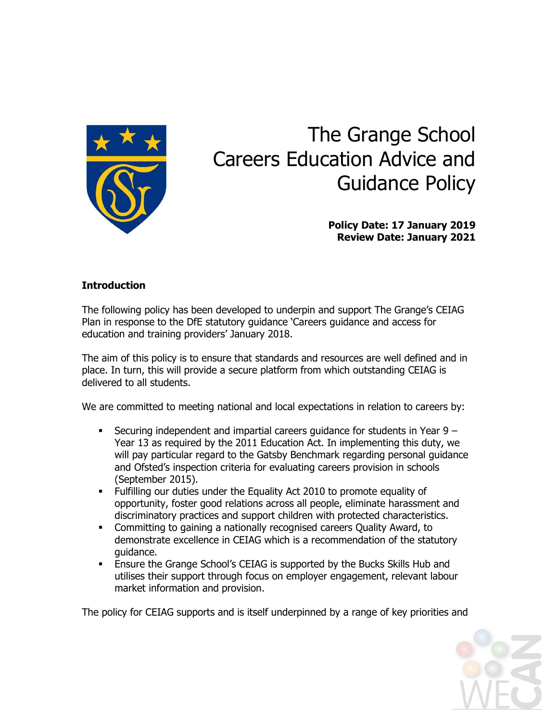

## The Grange School Careers Education Advice and Guidance Policy

**Policy Date: 17 January 2019 Review Date: January 2021**

#### **Introduction**

The following policy has been developed to underpin and support The Grange's CEIAG Plan in response to the DfE statutory guidance 'Careers guidance and access for education and training providers' January 2018.

The aim of this policy is to ensure that standards and resources are well defined and in place. In turn, this will provide a secure platform from which outstanding CEIAG is delivered to all students.

We are committed to meeting national and local expectations in relation to careers by:

- Securing independent and impartial careers guidance for students in Year  $9 -$ Year 13 as required by the 2011 Education Act. In implementing this duty, we will pay particular regard to the Gatsby Benchmark regarding personal guidance and Ofsted's inspection criteria for evaluating careers provision in schools (September 2015).
- Fulfilling our duties under the Equality Act 2010 to promote equality of opportunity, foster good relations across all people, eliminate harassment and discriminatory practices and support children with protected characteristics.
- Committing to gaining a nationally recognised careers Quality Award, to demonstrate excellence in CEIAG which is a recommendation of the statutory guidance.
- Ensure the Grange School's CEIAG is supported by the Bucks Skills Hub and utilises their support through focus on employer engagement, relevant labour market information and provision.

The policy for CEIAG supports and is itself underpinned by a range of key priorities and

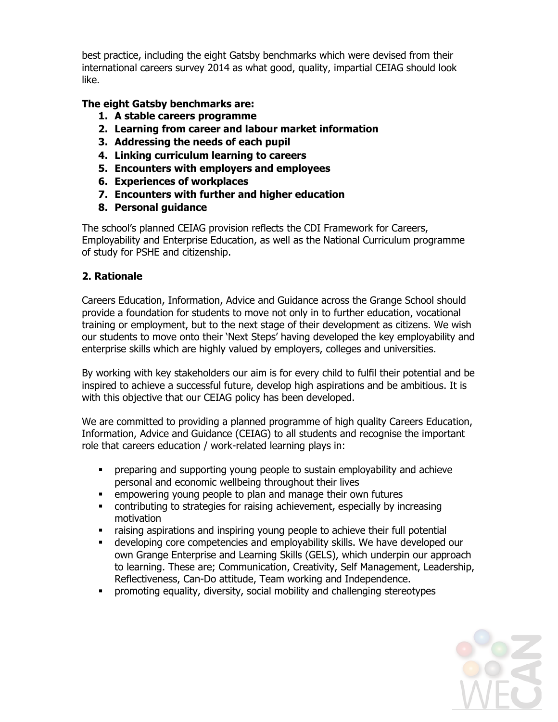best practice, including the eight Gatsby benchmarks which were devised from their international careers survey 2014 as what good, quality, impartial CEIAG should look like.

#### **The eight Gatsby benchmarks are:**

- **1. A stable careers programme**
- **2. Learning from career and labour market information**
- **3. Addressing the needs of each pupil**
- **4. Linking curriculum learning to careers**
- **5. Encounters with employers and employees**
- **6. Experiences of workplaces**
- **7. Encounters with further and higher education**
- **8. Personal guidance**

The school's planned CEIAG provision reflects the CDI Framework for Careers, Employability and Enterprise Education, as well as the National Curriculum programme of study for PSHE and citizenship.

#### **2. Rationale**

Careers Education, Information, Advice and Guidance across the Grange School should provide a foundation for students to move not only in to further education, vocational training or employment, but to the next stage of their development as citizens. We wish our students to move onto their 'Next Steps' having developed the key employability and enterprise skills which are highly valued by employers, colleges and universities.

By working with key stakeholders our aim is for every child to fulfil their potential and be inspired to achieve a successful future, develop high aspirations and be ambitious. It is with this objective that our CEIAG policy has been developed.

We are committed to providing a planned programme of high quality Careers Education, Information, Advice and Guidance (CEIAG) to all students and recognise the important role that careers education / work-related learning plays in:

- preparing and supporting young people to sustain employability and achieve personal and economic wellbeing throughout their lives
- empowering young people to plan and manage their own futures
- contributing to strategies for raising achievement, especially by increasing motivation
- raising aspirations and inspiring young people to achieve their full potential
- developing core competencies and employability skills. We have developed our own Grange Enterprise and Learning Skills (GELS), which underpin our approach to learning. These are; Communication, Creativity, Self Management, Leadership, Reflectiveness, Can-Do attitude, Team working and Independence.
- promoting equality, diversity, social mobility and challenging stereotypes

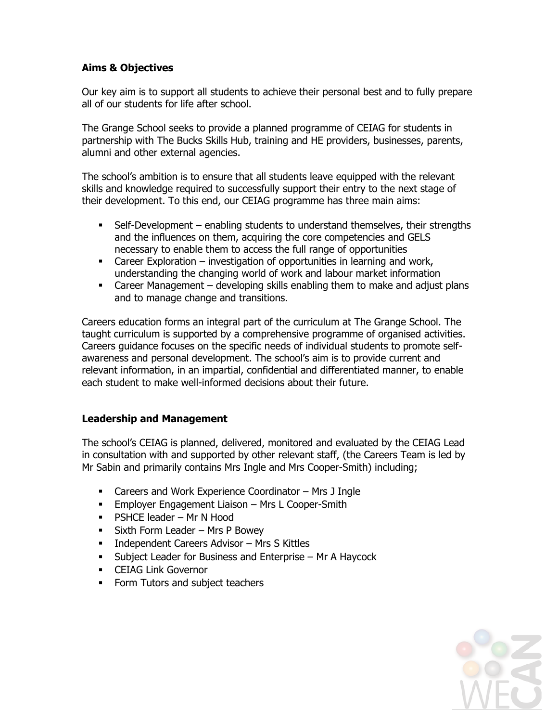#### **Aims & Objectives**

Our key aim is to support all students to achieve their personal best and to fully prepare all of our students for life after school.

The Grange School seeks to provide a planned programme of CEIAG for students in partnership with The Bucks Skills Hub, training and HE providers, businesses, parents, alumni and other external agencies.

The school's ambition is to ensure that all students leave equipped with the relevant skills and knowledge required to successfully support their entry to the next stage of their development. To this end, our CEIAG programme has three main aims:

- Self-Development enabling students to understand themselves, their strengths and the influences on them, acquiring the core competencies and GELS necessary to enable them to access the full range of opportunities
- Career Exploration investigation of opportunities in learning and work, understanding the changing world of work and labour market information
- Career Management developing skills enabling them to make and adjust plans and to manage change and transitions.

Careers education forms an integral part of the curriculum at The Grange School. The taught curriculum is supported by a comprehensive programme of organised activities. Careers guidance focuses on the specific needs of individual students to promote selfawareness and personal development. The school's aim is to provide current and relevant information, in an impartial, confidential and differentiated manner, to enable each student to make well-informed decisions about their future.

#### **Leadership and Management**

The school's CEIAG is planned, delivered, monitored and evaluated by the CEIAG Lead in consultation with and supported by other relevant staff, (the Careers Team is led by Mr Sabin and primarily contains Mrs Ingle and Mrs Cooper-Smith) including;

- Careers and Work Experience Coordinator Mrs J Ingle
- **Employer Engagement Liaison Mrs L Cooper-Smith**
- **PSHCE leader Mr N Hood**
- **Sixth Form Leader Mrs P Bowey**
- **Independent Careers Advisor Mrs S Kittles**
- **Subject Leader for Business and Enterprise Mr A Haycock**
- CEIAG Link Governor
- Form Tutors and subject teachers

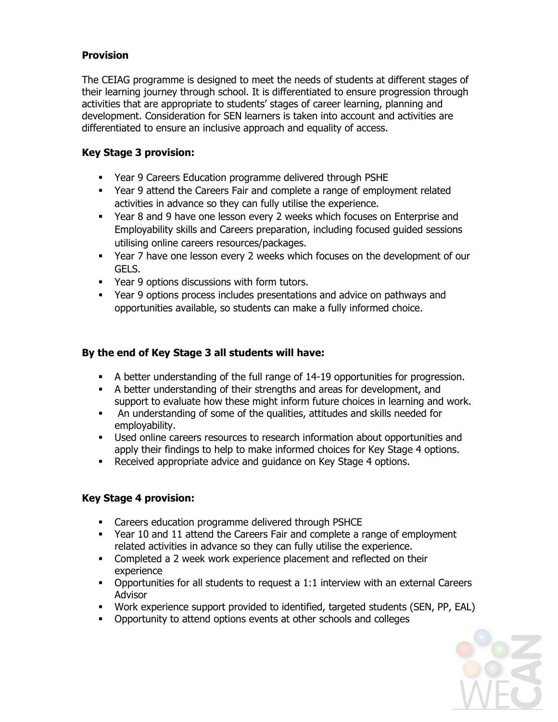#### **Provision**

The CEIAG programme is designed to meet the needs of students at different stages of their learning journey through school. It is differentiated to ensure progression through activities that are appropriate to students' stages of career learning, planning and development. Consideration for SEN learners is taken into account and activities are differentiated to ensure an inclusive approach and equality of access.

#### **Key Stage 3 provision:**

- Year 9 Careers Education programme delivered through PSHE
- Year 9 attend the Careers Fair and complete a range of employment related activities in advance so they can fully utilise the experience.
- Year 8 and 9 have one lesson every 2 weeks which focuses on Enterprise and Employability skills and Careers preparation, including focused guided sessions utilising online careers resources/packages.
- Year 7 have one lesson every 2 weeks which focuses on the development of our GELS.
- Year 9 options discussions with form tutors.
- Year 9 options process includes presentations and advice on pathways and opportunities available, so students can make a fully informed choice.

#### **By the end of Key Stage 3 all students will have:**

- A better understanding of the full range of 14-19 opportunities for progression.
- A better understanding of their strengths and areas for development, and support to evaluate how these might inform future choices in learning and work.
- An understanding of some of the qualities, attitudes and skills needed for employability.
- Used online careers resources to research information about opportunities and apply their findings to help to make informed choices for Key Stage 4 options.
- Received appropriate advice and guidance on Key Stage 4 options.

#### **Key Stage 4 provision:**

- Careers education programme delivered through PSHCE
- Year 10 and 11 attend the Careers Fair and complete a range of employment related activities in advance so they can fully utilise the experience.
- Completed a 2 week work experience placement and reflected on their experience
- Opportunities for all students to request a 1:1 interview with an external Careers Advisor
- Work experience support provided to identified, targeted students (SEN, PP, EAL)
- **•** Opportunity to attend options events at other schools and colleges

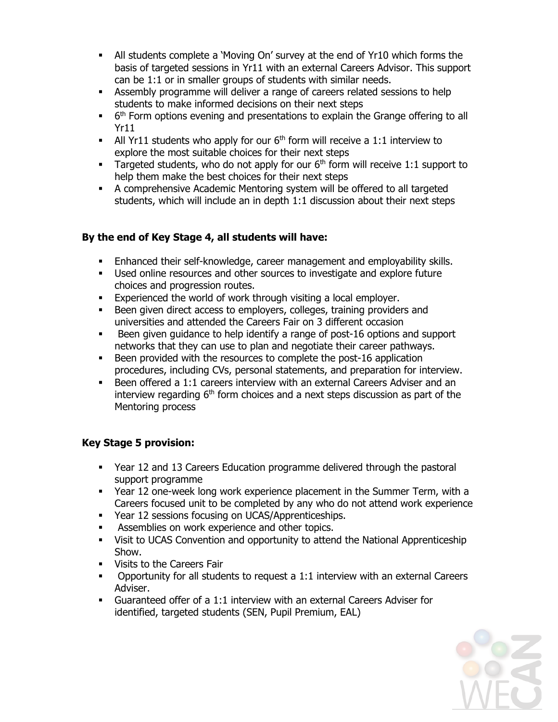- All students complete a 'Moving On' survey at the end of Yr10 which forms the basis of targeted sessions in Yr11 with an external Careers Advisor. This support can be 1:1 or in smaller groups of students with similar needs.
- Assembly programme will deliver a range of careers related sessions to help students to make informed decisions on their next steps
- $\blacksquare$  6<sup>th</sup> Form options evening and presentations to explain the Grange offering to all Yr11
- All Yr11 students who apply for our  $6<sup>th</sup>$  form will receive a 1:1 interview to explore the most suitable choices for their next steps
- Targeted students, who do not apply for our  $6<sup>th</sup>$  form will receive 1:1 support to help them make the best choices for their next steps
- A comprehensive Academic Mentoring system will be offered to all targeted students, which will include an in depth 1:1 discussion about their next steps

#### **By the end of Key Stage 4, all students will have:**

- Enhanced their self-knowledge, career management and employability skills.
- Used online resources and other sources to investigate and explore future choices and progression routes.
- Experienced the world of work through visiting a local employer.
- Been given direct access to employers, colleges, training providers and universities and attended the Careers Fair on 3 different occasion
- Been given guidance to help identify a range of post-16 options and support networks that they can use to plan and negotiate their career pathways.
- Been provided with the resources to complete the post-16 application procedures, including CVs, personal statements, and preparation for interview.
- Been offered a 1:1 careers interview with an external Careers Adviser and an interview regarding  $6<sup>th</sup>$  form choices and a next steps discussion as part of the Mentoring process

#### **Key Stage 5 provision:**

- Year 12 and 13 Careers Education programme delivered through the pastoral support programme
- Year 12 one-week long work experience placement in the Summer Term, with a Careers focused unit to be completed by any who do not attend work experience
- **Year 12 sessions focusing on UCAS/Apprenticeships.**
- **Assemblies on work experience and other topics.**
- Visit to UCAS Convention and opportunity to attend the National Apprenticeship Show.
- **Visits to the Careers Fair**
- **•** Opportunity for all students to request a 1:1 interview with an external Careers Adviser.
- Guaranteed offer of a 1:1 interview with an external Careers Adviser for identified, targeted students (SEN, Pupil Premium, EAL)

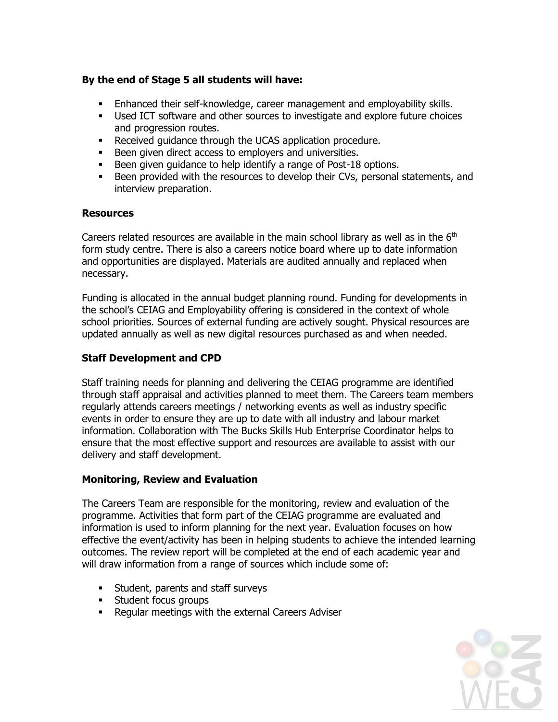#### **By the end of Stage 5 all students will have:**

- Enhanced their self-knowledge, career management and employability skills.
- Used ICT software and other sources to investigate and explore future choices and progression routes.
- **Received guidance through the UCAS application procedure.**
- Been given direct access to employers and universities.
- Been given guidance to help identify a range of Post-18 options.
- **Been provided with the resources to develop their CVs, personal statements, and** interview preparation.

#### **Resources**

Careers related resources are available in the main school library as well as in the  $6<sup>th</sup>$ form study centre. There is also a careers notice board where up to date information and opportunities are displayed. Materials are audited annually and replaced when necessary.

Funding is allocated in the annual budget planning round. Funding for developments in the school's CEIAG and Employability offering is considered in the context of whole school priorities. Sources of external funding are actively sought. Physical resources are updated annually as well as new digital resources purchased as and when needed.

#### **Staff Development and CPD**

Staff training needs for planning and delivering the CEIAG programme are identified through staff appraisal and activities planned to meet them. The Careers team members regularly attends careers meetings / networking events as well as industry specific events in order to ensure they are up to date with all industry and labour market information. Collaboration with The Bucks Skills Hub Enterprise Coordinator helps to ensure that the most effective support and resources are available to assist with our delivery and staff development.

#### **Monitoring, Review and Evaluation**

The Careers Team are responsible for the monitoring, review and evaluation of the programme. Activities that form part of the CEIAG programme are evaluated and information is used to inform planning for the next year. Evaluation focuses on how effective the event/activity has been in helping students to achieve the intended learning outcomes. The review report will be completed at the end of each academic year and will draw information from a range of sources which include some of:

- **Student, parents and staff surveys**
- **Student focus groups**
- Regular meetings with the external Careers Adviser